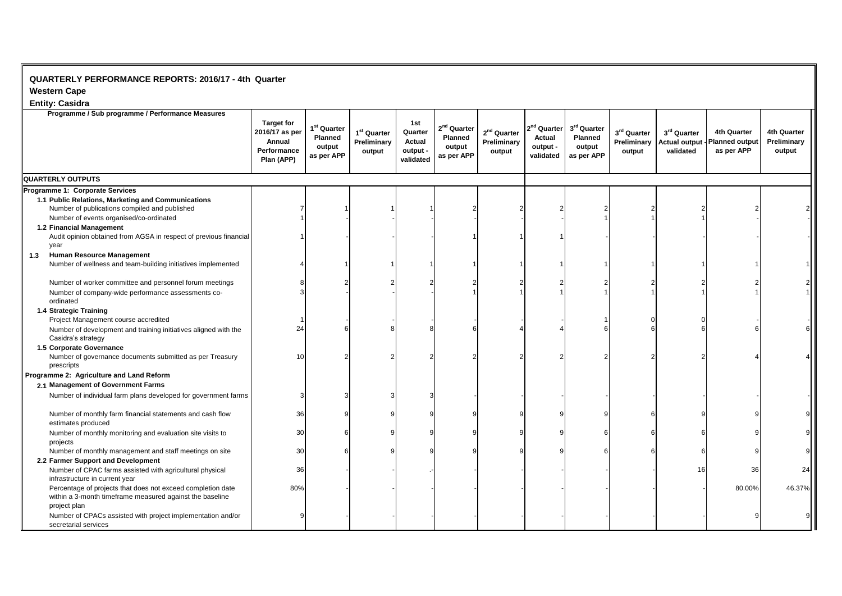## **QUARTERLY PERFORMANCE REPORTS: 2016/17 - 4th Quarter**

**Western Cape** 

## **Entity: Casidra**

| Elility. Gasiura<br>Programme / Sub programme / Performance Measures                                                                    |                                                                            |                                                            |                                                  |                                                   |                                                  |                                        |                                                            |                                                                   |                                      |                                                  |                                                    |                                             |
|-----------------------------------------------------------------------------------------------------------------------------------------|----------------------------------------------------------------------------|------------------------------------------------------------|--------------------------------------------------|---------------------------------------------------|--------------------------------------------------|----------------------------------------|------------------------------------------------------------|-------------------------------------------------------------------|--------------------------------------|--------------------------------------------------|----------------------------------------------------|---------------------------------------------|
|                                                                                                                                         | <b>Target for</b><br>2016/17 as per<br>Annual<br>Performance<br>Plan (APP) | 1 <sup>st</sup> Quarter<br>Planned<br>output<br>as per APP | 1 <sup>st</sup> Quarter<br>Preliminary<br>output | 1st<br>Quarter<br>Actual<br>output -<br>validated | $2nd$ Quarter<br>Planned<br>output<br>as per APP | $2nd$ Quarter<br>Preliminary<br>output | $2^{\text{nd}}$ Quarter<br>Actual<br>output -<br>validated | 3 <sup>rd</sup> Quarter<br><b>Planned</b><br>output<br>as per APP | 3rd Quarter<br>Preliminary<br>output | 3rd Quarter<br><b>Actual output</b><br>validated | 4th Quarter<br><b>Planned output</b><br>as per APP | <b>4th Quarter</b><br>Preliminary<br>output |
| QUARTERLY OUTPUTS                                                                                                                       |                                                                            |                                                            |                                                  |                                                   |                                                  |                                        |                                                            |                                                                   |                                      |                                                  |                                                    |                                             |
| Programme 1: Corporate Services                                                                                                         |                                                                            |                                                            |                                                  |                                                   |                                                  |                                        |                                                            |                                                                   |                                      |                                                  |                                                    |                                             |
| 1.1 Public Relations, Marketing and Communications                                                                                      |                                                                            |                                                            |                                                  |                                                   |                                                  |                                        |                                                            |                                                                   |                                      |                                                  |                                                    |                                             |
| Number of publications compiled and published                                                                                           |                                                                            |                                                            |                                                  |                                                   |                                                  |                                        |                                                            |                                                                   |                                      |                                                  |                                                    |                                             |
| Number of events organised/co-ordinated                                                                                                 |                                                                            |                                                            |                                                  |                                                   |                                                  |                                        |                                                            |                                                                   |                                      |                                                  |                                                    |                                             |
| 1.2 Financial Management                                                                                                                |                                                                            |                                                            |                                                  |                                                   |                                                  |                                        |                                                            |                                                                   |                                      |                                                  |                                                    |                                             |
| Audit opinion obtained from AGSA in respect of previous financial<br>year                                                               |                                                                            |                                                            |                                                  |                                                   |                                                  |                                        |                                                            |                                                                   |                                      |                                                  |                                                    |                                             |
| <b>Human Resource Management</b><br>1.3                                                                                                 |                                                                            |                                                            |                                                  |                                                   |                                                  |                                        |                                                            |                                                                   |                                      |                                                  |                                                    |                                             |
| Number of wellness and team-building initiatives implemented                                                                            |                                                                            |                                                            |                                                  |                                                   |                                                  |                                        |                                                            |                                                                   |                                      |                                                  |                                                    |                                             |
| Number of worker committee and personnel forum meetings                                                                                 |                                                                            |                                                            |                                                  |                                                   |                                                  |                                        |                                                            |                                                                   |                                      |                                                  |                                                    |                                             |
| Number of company-wide performance assessments co-<br>ordinated                                                                         |                                                                            |                                                            |                                                  |                                                   |                                                  |                                        |                                                            |                                                                   |                                      |                                                  |                                                    |                                             |
| 1.4 Strategic Training                                                                                                                  |                                                                            |                                                            |                                                  |                                                   |                                                  |                                        |                                                            |                                                                   |                                      |                                                  |                                                    |                                             |
| Project Management course accredited                                                                                                    |                                                                            |                                                            |                                                  |                                                   |                                                  |                                        |                                                            |                                                                   |                                      |                                                  |                                                    |                                             |
| Number of development and training initiatives aligned with the<br>Casidra's strategy                                                   | 24                                                                         |                                                            |                                                  |                                                   |                                                  |                                        |                                                            |                                                                   |                                      |                                                  |                                                    |                                             |
| 1.5 Corporate Governance                                                                                                                |                                                                            |                                                            |                                                  |                                                   |                                                  |                                        |                                                            |                                                                   |                                      |                                                  |                                                    |                                             |
| Number of governance documents submitted as per Treasury<br>prescripts                                                                  | 10                                                                         |                                                            |                                                  |                                                   |                                                  |                                        |                                                            |                                                                   |                                      |                                                  |                                                    |                                             |
| Programme 2: Agriculture and Land Reform                                                                                                |                                                                            |                                                            |                                                  |                                                   |                                                  |                                        |                                                            |                                                                   |                                      |                                                  |                                                    |                                             |
| 2.1 Management of Government Farms                                                                                                      |                                                                            |                                                            |                                                  |                                                   |                                                  |                                        |                                                            |                                                                   |                                      |                                                  |                                                    |                                             |
| Number of individual farm plans developed for government farms                                                                          |                                                                            |                                                            |                                                  |                                                   |                                                  |                                        |                                                            |                                                                   |                                      |                                                  |                                                    |                                             |
| Number of monthly farm financial statements and cash flow<br>estimates produced                                                         | 36                                                                         |                                                            |                                                  |                                                   |                                                  |                                        |                                                            |                                                                   |                                      |                                                  |                                                    |                                             |
| Number of monthly monitoring and evaluation site visits to<br>projects                                                                  | 30                                                                         |                                                            |                                                  |                                                   |                                                  |                                        |                                                            |                                                                   |                                      |                                                  |                                                    |                                             |
| Number of monthly management and staff meetings on site                                                                                 | 30                                                                         |                                                            |                                                  |                                                   |                                                  |                                        |                                                            |                                                                   |                                      |                                                  |                                                    |                                             |
| 2.2 Farmer Support and Development                                                                                                      |                                                                            |                                                            |                                                  |                                                   |                                                  |                                        |                                                            |                                                                   |                                      |                                                  |                                                    |                                             |
| Number of CPAC farms assisted with agricultural physical<br>infrastructure in current year                                              | 36                                                                         |                                                            |                                                  |                                                   |                                                  |                                        |                                                            |                                                                   |                                      | 16                                               | 36                                                 | 24                                          |
| Percentage of projects that does not exceed completion date<br>within a 3-month timeframe measured against the baseline<br>project plan | 80%                                                                        |                                                            |                                                  |                                                   |                                                  |                                        |                                                            |                                                                   |                                      |                                                  | 80.00%                                             | 46.37%                                      |
| Number of CPACs assisted with project implementation and/or<br>secretarial services                                                     |                                                                            |                                                            |                                                  |                                                   |                                                  |                                        |                                                            |                                                                   |                                      |                                                  |                                                    |                                             |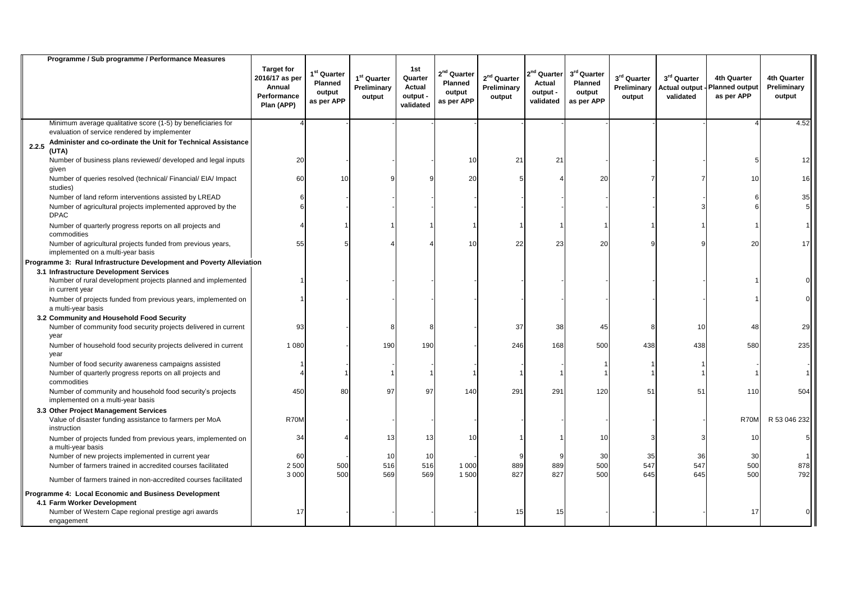|       | Programme / Sub programme / Performance Measures                                                                                    |                                                                            |                                                  |                                        |                                                   |                                                                   |                                        |                                                  |                                                |                                               |                                                  |                                                    |                                             |
|-------|-------------------------------------------------------------------------------------------------------------------------------------|----------------------------------------------------------------------------|--------------------------------------------------|----------------------------------------|---------------------------------------------------|-------------------------------------------------------------------|----------------------------------------|--------------------------------------------------|------------------------------------------------|-----------------------------------------------|--------------------------------------------------|----------------------------------------------------|---------------------------------------------|
|       |                                                                                                                                     | <b>Target for</b><br>2016/17 as per<br>Annual<br>Performance<br>Plan (APP) | $1st$ Quarter<br>Planned<br>output<br>as per APP | $1st$ Quarter<br>Preliminary<br>output | 1st<br>Quarter<br>Actual<br>output -<br>validated | 2 <sup>nd</sup> Quarter<br><b>Planned</b><br>output<br>as per APP | $2nd$ Quarter<br>Preliminary<br>output | $2nd$ Quarter<br>Actual<br>output -<br>validated | 3rd Quarter<br>Planned<br>output<br>as per APP | $3^{\rm rd}$ Quarter<br>Preliminary<br>output | 3rd Quarter<br><b>Actual output</b><br>validated | 4th Quarter<br><b>Planned output</b><br>as per APP | <b>4th Quarter</b><br>Preliminary<br>output |
|       | Minimum average qualitative score (1-5) by beneficiaries for<br>evaluation of service rendered by implementer                       |                                                                            |                                                  |                                        |                                                   |                                                                   |                                        |                                                  |                                                |                                               |                                                  |                                                    | 4.52                                        |
| 2.2.5 | Administer and co-ordinate the Unit for Technical Assistance<br>(UTA)                                                               |                                                                            |                                                  |                                        |                                                   |                                                                   |                                        |                                                  |                                                |                                               |                                                  |                                                    |                                             |
|       | Number of business plans reviewed/ developed and legal inputs<br>given                                                              | 20                                                                         |                                                  |                                        |                                                   | 10                                                                | 21                                     | 21                                               |                                                |                                               |                                                  |                                                    | 12                                          |
|       | Number of queries resolved (technical/ Financial/ EIA/ Impact<br>studies)                                                           | 60                                                                         | 10                                               |                                        |                                                   | 20                                                                |                                        |                                                  | 20                                             |                                               |                                                  | 10                                                 | 16                                          |
|       | Number of land reform interventions assisted by LREAD<br>Number of agricultural projects implemented approved by the<br><b>DPAC</b> |                                                                            |                                                  |                                        |                                                   |                                                                   |                                        |                                                  |                                                |                                               |                                                  |                                                    | 35                                          |
|       | Number of quarterly progress reports on all projects and<br>commodities                                                             |                                                                            |                                                  |                                        |                                                   |                                                                   |                                        |                                                  |                                                |                                               |                                                  |                                                    |                                             |
|       | Number of agricultural projects funded from previous years,<br>implemented on a multi-year basis                                    | 55                                                                         |                                                  |                                        |                                                   | 10                                                                | 22                                     | 23                                               | 20                                             |                                               |                                                  | 20                                                 | 17                                          |
|       | Programme 3: Rural Infrastructure Development and Poverty Alleviation                                                               |                                                                            |                                                  |                                        |                                                   |                                                                   |                                        |                                                  |                                                |                                               |                                                  |                                                    |                                             |
|       | 3.1 Infrastructure Development Services<br>Number of rural development projects planned and implemented<br>in current year          |                                                                            |                                                  |                                        |                                                   |                                                                   |                                        |                                                  |                                                |                                               |                                                  |                                                    |                                             |
|       | Number of projects funded from previous years, implemented on<br>a multi-year basis                                                 |                                                                            |                                                  |                                        |                                                   |                                                                   |                                        |                                                  |                                                |                                               |                                                  |                                                    |                                             |
|       | 3.2 Community and Household Food Security                                                                                           |                                                                            |                                                  |                                        |                                                   |                                                                   |                                        |                                                  |                                                |                                               |                                                  |                                                    |                                             |
|       | Number of community food security projects delivered in current<br>year                                                             | 93                                                                         |                                                  |                                        |                                                   |                                                                   | 37                                     | 38                                               | 45                                             |                                               | 10                                               | 48                                                 | 29                                          |
|       | Number of household food security projects delivered in current<br>year                                                             | 1 0 8 0                                                                    |                                                  | 190                                    | 190                                               |                                                                   | 246                                    | 168                                              | 500                                            | 438                                           | 438                                              | 580                                                | 235                                         |
|       | Number of food security awareness campaigns assisted                                                                                |                                                                            |                                                  |                                        |                                                   |                                                                   |                                        |                                                  |                                                |                                               |                                                  |                                                    |                                             |
|       | Number of quarterly progress reports on all projects and<br>commodities                                                             |                                                                            |                                                  |                                        |                                                   |                                                                   |                                        |                                                  |                                                |                                               |                                                  |                                                    |                                             |
|       | Number of community and household food security's projects<br>implemented on a multi-year basis                                     | 450                                                                        | 80                                               | 97                                     | 97                                                | 140                                                               | 291                                    | 291                                              | 120                                            | 51                                            | 51                                               | 110                                                | 504                                         |
|       | 3.3 Other Project Management Services                                                                                               |                                                                            |                                                  |                                        |                                                   |                                                                   |                                        |                                                  |                                                |                                               |                                                  |                                                    |                                             |
|       | Value of disaster funding assistance to farmers per MoA<br>instruction                                                              | R70M                                                                       |                                                  |                                        |                                                   |                                                                   |                                        |                                                  |                                                |                                               |                                                  | R70M                                               | R 53 046 232                                |
|       | Number of projects funded from previous years, implemented on<br>a multi-year basis                                                 | 34                                                                         |                                                  | 13                                     | 13                                                | 10                                                                |                                        |                                                  | 10                                             |                                               |                                                  | 10                                                 |                                             |
|       | Number of new projects implemented in current year                                                                                  | 60                                                                         |                                                  | 10                                     | 10                                                |                                                                   |                                        |                                                  | 30                                             | 35                                            | 36                                               | 30                                                 |                                             |
|       | Number of farmers trained in accredited courses facilitated                                                                         | 2 500                                                                      | 500                                              | 516                                    | 516                                               | 1 0 0 0                                                           | 889                                    | 889                                              | 500                                            | 547                                           | 547                                              | 500                                                | 878                                         |
|       | Number of farmers trained in non-accredited courses facilitated                                                                     | 3 0 0 0                                                                    | 500                                              | 569                                    | 569                                               | 1 500                                                             | 827                                    | 827                                              | 500                                            | 645                                           | 645                                              | 500                                                | 792                                         |
|       | Programme 4: Local Economic and Business Development                                                                                |                                                                            |                                                  |                                        |                                                   |                                                                   |                                        |                                                  |                                                |                                               |                                                  |                                                    |                                             |
|       | 4.1 Farm Worker Development                                                                                                         |                                                                            |                                                  |                                        |                                                   |                                                                   |                                        |                                                  |                                                |                                               |                                                  |                                                    |                                             |
|       | Number of Western Cape regional prestige agri awards<br>engagement                                                                  | 17                                                                         |                                                  |                                        |                                                   |                                                                   | 15                                     | 15                                               |                                                |                                               |                                                  | 17                                                 |                                             |